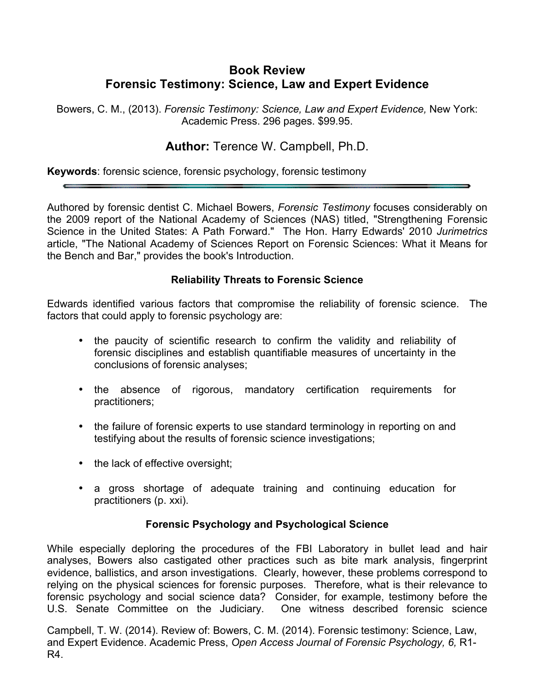# **Book Review Forensic Testimony: Science, Law and Expert Evidence**

Bowers, C. M., (2013). *Forensic Testimony: Science, Law and Expert Evidence,* New York: Academic Press. 296 pages. \$99.95.

## **Author:** Terence W. Campbell, Ph.D.

**Keywords**: forensic science, forensic psychology, forensic testimony

Authored by forensic dentist C. Michael Bowers, *Forensic Testimony* focuses considerably on the 2009 report of the National Academy of Sciences (NAS) titled, "Strengthening Forensic Science in the United States: A Path Forward." The Hon. Harry Edwards' 2010 *Jurimetrics* article, "The National Academy of Sciences Report on Forensic Sciences: What it Means for the Bench and Bar," provides the book's Introduction.

### **Reliability Threats to Forensic Science**

Edwards identified various factors that compromise the reliability of forensic science. The factors that could apply to forensic psychology are:

- the paucity of scientific research to confirm the validity and reliability of forensic disciplines and establish quantifiable measures of uncertainty in the conclusions of forensic analyses;
- the absence of rigorous, mandatory certification requirements for practitioners;
- the failure of forensic experts to use standard terminology in reporting on and testifying about the results of forensic science investigations;
- the lack of effective oversight;
- a gross shortage of adequate training and continuing education for practitioners (p. xxi).

#### **Forensic Psychology and Psychological Science**

While especially deploring the procedures of the FBI Laboratory in bullet lead and hair analyses, Bowers also castigated other practices such as bite mark analysis, fingerprint evidence, ballistics, and arson investigations. Clearly, however, these problems correspond to relying on the physical sciences for forensic purposes. Therefore, what is their relevance to forensic psychology and social science data? Consider, for example, testimony before the U.S. Senate Committee on the Judiciary. One witness described forensic science

Campbell, T. W. (2014). Review of: Bowers, C. M. (2014). Forensic testimony: Science, Law, and Expert Evidence. Academic Press, *Open Access Journal of Forensic Psychology, 6,* R1- R4.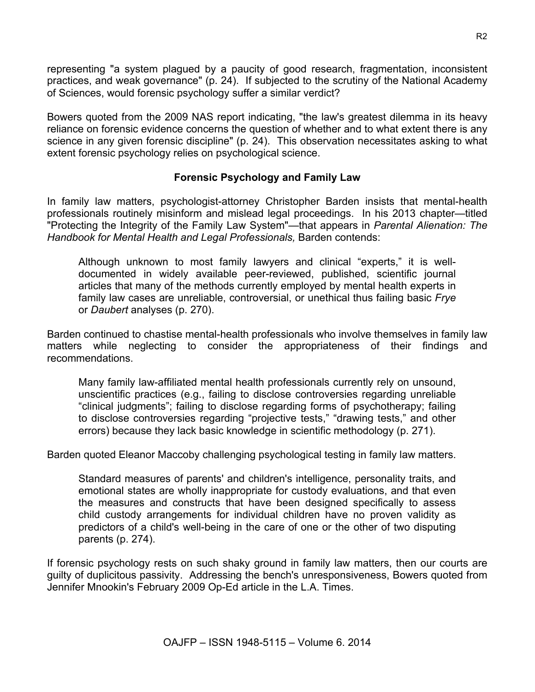representing "a system plagued by a paucity of good research, fragmentation, inconsistent practices, and weak governance" (p. 24). If subjected to the scrutiny of the National Academy of Sciences, would forensic psychology suffer a similar verdict?

Bowers quoted from the 2009 NAS report indicating, "the law's greatest dilemma in its heavy reliance on forensic evidence concerns the question of whether and to what extent there is any science in any given forensic discipline" (p. 24). This observation necessitates asking to what extent forensic psychology relies on psychological science.

### **Forensic Psychology and Family Law**

In family law matters, psychologist-attorney Christopher Barden insists that mental-health professionals routinely misinform and mislead legal proceedings. In his 2013 chapter—titled "Protecting the Integrity of the Family Law System"—that appears in *Parental Alienation: The Handbook for Mental Health and Legal Professionals,* Barden contends:

Although unknown to most family lawyers and clinical "experts," it is welldocumented in widely available peer-reviewed, published, scientific journal articles that many of the methods currently employed by mental health experts in family law cases are unreliable, controversial, or unethical thus failing basic *Frye* or *Daubert* analyses (p. 270).

Barden continued to chastise mental-health professionals who involve themselves in family law matters while neglecting to consider the appropriateness of their findings and recommendations.

Many family law-affiliated mental health professionals currently rely on unsound, unscientific practices (e.g., failing to disclose controversies regarding unreliable "clinical judgments"; failing to disclose regarding forms of psychotherapy; failing to disclose controversies regarding "projective tests," "drawing tests," and other errors) because they lack basic knowledge in scientific methodology (p. 271).

Barden quoted Eleanor Maccoby challenging psychological testing in family law matters.

Standard measures of parents' and children's intelligence, personality traits, and emotional states are wholly inappropriate for custody evaluations, and that even the measures and constructs that have been designed specifically to assess child custody arrangements for individual children have no proven validity as predictors of a child's well-being in the care of one or the other of two disputing parents (p. 274).

If forensic psychology rests on such shaky ground in family law matters, then our courts are guilty of duplicitous passivity. Addressing the bench's unresponsiveness, Bowers quoted from Jennifer Mnookin's February 2009 Op-Ed article in the L.A. Times.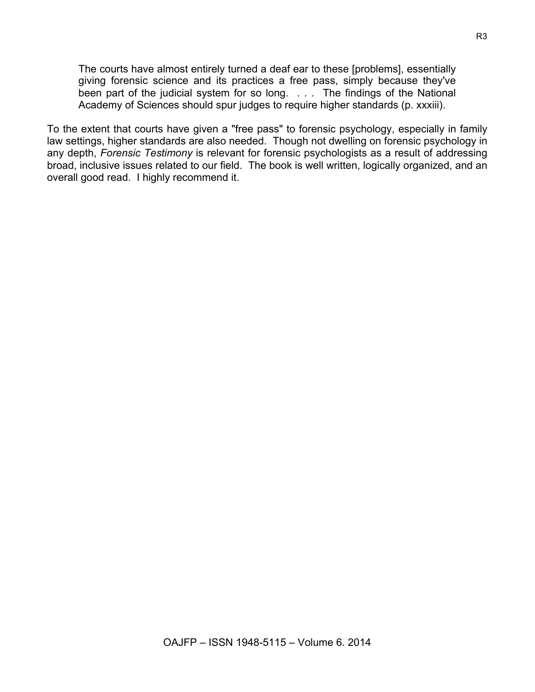The courts have almost entirely turned a deaf ear to these [problems], essentially giving forensic science and its practices a free pass, simply because they've been part of the judicial system for so long. . . . The findings of the National Academy of Sciences should spur judges to require higher standards (p. xxxiii).

To the extent that courts have given a "free pass" to forensic psychology, especially in family law settings, higher standards are also needed. Though not dwelling on forensic psychology in any depth, *Forensic Testimony* is relevant for forensic psychologists as a result of addressing broad, inclusive issues related to our field. The book is well written, logically organized, and an overall good read. I highly recommend it.